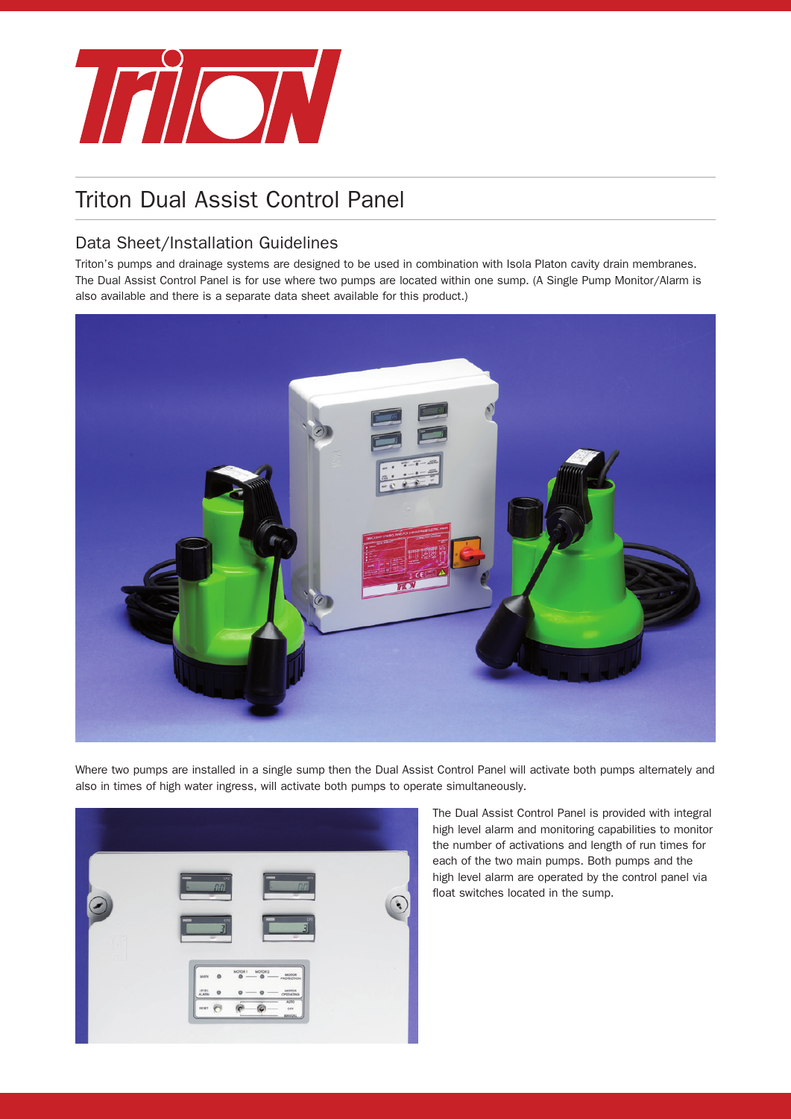

# Triton Dual Assist Control Panel

# Data Sheet/Installation Guidelines

Triton's pumps and drainage systems are designed to be used in combination with Isola Platon cavity drain membranes. The Dual Assist Control Panel is for use where two pumps are located within one sump. (A Single Pump Monitor/Alarm is also available and there is a separate data sheet available for this product.)



Where two pumps are installed in a single sump then the Dual Assist Control Panel will activate both pumps alternately and also in times of high water ingress, will activate both pumps to operate simultaneously.



The Dual Assist Control Panel is provided with integral high level alarm and monitoring capabilities to monitor the number of activations and length of run times for each of the two main pumps. Both pumps and the high level alarm are operated by the control panel via float switches located in the sump.